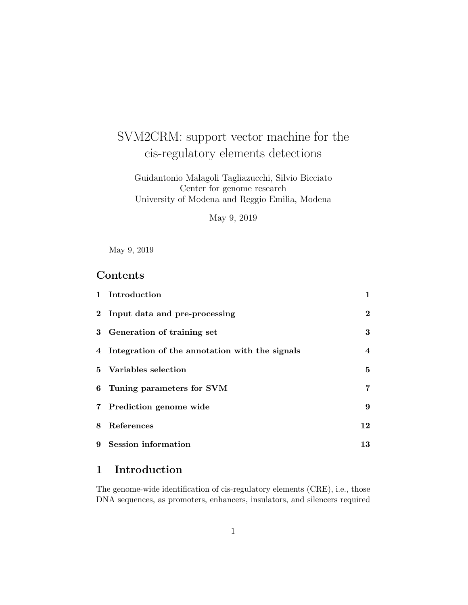# SVM2CRM: support vector machine for the cis-regulatory elements detections

Guidantonio Malagoli Tagliazucchi, Silvio Bicciato Center for genome research University of Modena and Reggio Emilia, Modena

May 9, 2019

May 9, 2019

# Contents

| 1 Introduction                                   | $\mathbf{1}$     |
|--------------------------------------------------|------------------|
| 2 Input data and pre-processing                  | $\overline{2}$   |
| 3 Generation of training set                     | 3                |
| 4 Integration of the annotation with the signals | $\boldsymbol{4}$ |
| 5 Variables selection                            | 5                |
| 6 Tuning parameters for SVM                      | 7                |
| 7 Prediction genome wide                         | 9                |
| 8 References                                     | 12               |
| 9 Session information                            | 13               |

# 1 Introduction

The genome-wide identification of cis-regulatory elements (CRE), i.e., those DNA sequences, as promoters, enhancers, insulators, and silencers required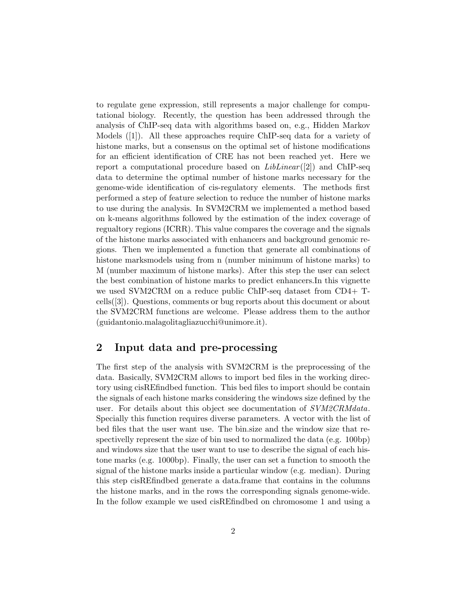to regulate gene expression, still represents a major challenge for computational biology. Recently, the question has been addressed through the analysis of ChIP-seq data with algorithms based on, e.g., Hidden Markov Models ([1]). All these approaches require ChIP-seq data for a variety of histone marks, but a consensus on the optimal set of histone modifications for an efficient identification of CRE has not been reached yet. Here we report a computational procedure based on  $LibLinear([2])$  and ChIP-seq data to determine the optimal number of histone marks necessary for the genome-wide identification of cis-regulatory elements. The methods first performed a step of feature selection to reduce the number of histone marks to use during the analysis. In SVM2CRM we implemented a method based on k-means algorithms followed by the estimation of the index coverage of regualtory regions (ICRR). This value compares the coverage and the signals of the histone marks associated with enhancers and background genomic regions. Then we implemented a function that generate all combinations of histone marksmodels using from n (number minimum of histone marks) to M (number maximum of histone marks). After this step the user can select the best combination of histone marks to predict enhancers.In this vignette we used SVM2CRM on a reduce public ChIP-seq dataset from CD4+ Tcells([3]). Questions, comments or bug reports about this document or about the SVM2CRM functions are welcome. Please address them to the author (guidantonio.malagolitagliazucchi@unimore.it).

### 2 Input data and pre-processing

The first step of the analysis with SVM2CRM is the preprocessing of the data. Basically, SVM2CRM allows to import bed files in the working directory using cisREfindbed function. This bed files to import should be contain the signals of each histone marks considering the windows size defined by the user. For details about this object see documentation of  $SVM2CRM data$ . Specially this function requires diverse parameters. A vector with the list of bed files that the user want use. The bin.size and the window size that respectivelly represent the size of bin used to normalized the data (e.g. 100bp) and windows size that the user want to use to describe the signal of each histone marks (e.g. 1000bp). Finally, the user can set a function to smooth the signal of the histone marks inside a particular window (e.g. median). During this step cisREfindbed generate a data.frame that contains in the columns the histone marks, and in the rows the corresponding signals genome-wide. In the follow example we used cisREfindbed on chromosome 1 and using a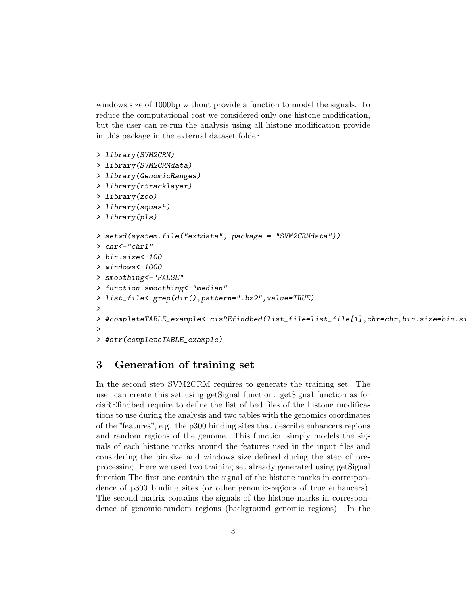windows size of 1000bp without provide a function to model the signals. To reduce the computational cost we considered only one histone modification, but the user can re-run the analysis using all histone modification provide in this package in the external dataset folder.

```
> library(SVM2CRM)
> library(SVM2CRMdata)
> library(GenomicRanges)
> library(rtracklayer)
> library(zoo)
> library(squash)
> library(pls)
> setwd(system.file("extdata", package = "SVM2CRMdata"))
> chr<-"chr1"
> bin.size<-100
> windows<-1000
> smoothing<-"FALSE"
> function.smoothing<-"median"
> list_file<-grep(dir(),pattern=".bz2",value=TRUE)
>
> #completeTABLE_example<-cisREfindbed(list_file=list_file[1],chr=chr,bin.size=bin.si
>
> #str(completeTABLE_example)
```
# 3 Generation of training set

In the second step SVM2CRM requires to generate the training set. The user can create this set using getSignal function. getSignal function as for cisREfindbed require to define the list of bed files of the histone modifications to use during the analysis and two tables with the genomics coordinates of the "features", e.g. the p300 binding sites that describe enhancers regions and random regions of the genome. This function simply models the signals of each histone marks around the features used in the input files and considering the bin.size and windows size defined during the step of preprocessing. Here we used two training set already generated using getSignal function.The first one contain the signal of the histone marks in correspondence of p300 binding sites (or other genomic-regions of true enhancers). The second matrix contains the signals of the histone marks in correspondence of genomic-random regions (background genomic regions). In the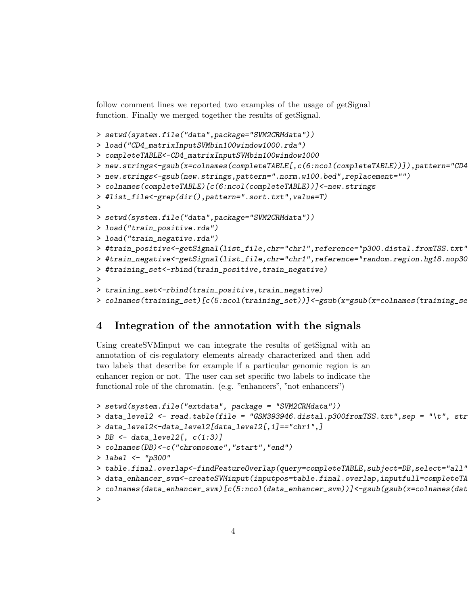follow comment lines we reported two examples of the usage of getSignal function. Finally we merged together the results of getSignal.

```
> setwd(system.file("data",package="SVM2CRMdata"))
> load("CD4_matrixInputSVMbin100window1000.rda")
> completeTABLE<-CD4_matrixInputSVMbin100window1000
> new.strings<-gsub(x=colnames(completeTABLE[,c(6:ncol(completeTABLE))]),pattern="CD4
> new.strings<-gsub(new.strings,pattern=".norm.w100.bed",replacement="")
> colnames(completeTABLE)[c(6:ncol(completeTABLE))]<-new.strings
> #list_file<-grep(dir(),pattern=".sort.txt",value=T)
>
> setwd(system.file("data",package="SVM2CRMdata"))
> load("train_positive.rda")
> load("train_negative.rda")
> #train_positive<-getSignal(list_file,chr="chr1",reference="p300.distal.fromTSS.txt"
> #train_negative<-getSignal(list_file,chr="chr1",reference="random.region.hg18.nop30
> #training_set<-rbind(train_positive,train_negative)
>
> training_set<-rbind(train_positive,train_negative)
> colnames(training_set)[c(5:ncol(training_set))]<-gsub(x=gsub(x=colnames(training_se
```
# 4 Integration of the annotation with the signals

Using createSVMinput we can integrate the results of getSignal with an annotation of cis-regulatory elements already characterized and then add two labels that describe for example if a particular genomic region is an enhancer region or not. The user can set specific two labels to indicate the functional role of the chromatin. (e.g. "enhancers", "not enhancers")

```
> setwd(system.file("extdata", package = "SVM2CRMdata"))
> data_level2 <- read.table(file = "GSM393946.distal.p300fromTSS.txt",sep = "\t", str
> data_level2<-data_level2[data_level2[,1]=="chr1",]
> DB \leq data_level2[, c(1:3)]
> colnames(DB)<-c("chromosome","start","end")
> label <- "p300"
> table.final.overlap<-findFeatureOverlap(query=completeTABLE,subject=DB,select="all")
> data_enhancer_svm<-createSVMinput(inputpos=table.final.overlap,inputfull=completeTA
> colnames(data_enhancer_svm)[c(5:ncol(data_enhancer_svm))]<-gsub(gsub(x=colnames(dat
>
```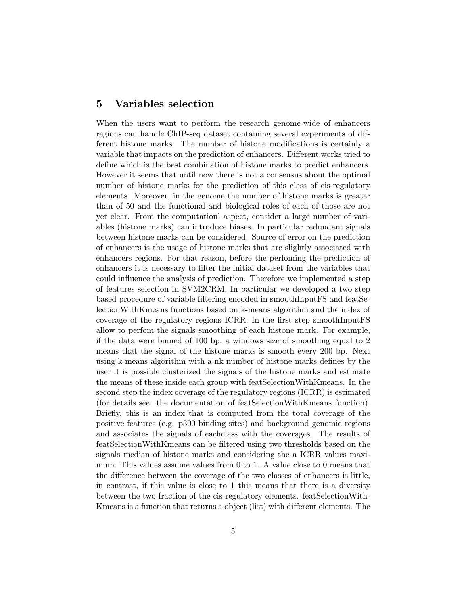### 5 Variables selection

When the users want to perform the research genome-wide of enhancers regions can handle ChIP-seq dataset containing several experiments of different histone marks. The number of histone modifications is certainly a variable that impacts on the prediction of enhancers. Different works tried to define which is the best combination of histone marks to predict enhancers. However it seems that until now there is not a consensus about the optimal number of histone marks for the prediction of this class of cis-regulatory elements. Moreover, in the genome the number of histone marks is greater than of 50 and the functional and biological roles of each of those are not yet clear. From the computationl aspect, consider a large number of variables (histone marks) can introduce biases. In particular redundant signals between histone marks can be considered. Source of error on the prediction of enhancers is the usage of histone marks that are slightly associated with enhancers regions. For that reason, before the perfoming the prediction of enhancers it is necessary to filter the initial dataset from the variables that could influence the analysis of prediction. Therefore we implemented a step of features selection in SVM2CRM. In particular we developed a two step based procedure of variable filtering encoded in smoothInputFS and featSelectionWithKmeans functions based on k-means algorithm and the index of coverage of the regulatory regions ICRR. In the first step smoothInputFS allow to perfom the signals smoothing of each histone mark. For example, if the data were binned of 100 bp, a windows size of smoothing equal to 2 means that the signal of the histone marks is smooth every 200 bp. Next using k-means algorithm with a nk number of histone marks defines by the user it is possible clusterized the signals of the histone marks and estimate the means of these inside each group with featSelectionWithKmeans. In the second step the index coverage of the regulatory regions (ICRR) is estimated (for details see. the documentation of featSelectionWithKmeans function). Briefly, this is an index that is computed from the total coverage of the positive features (e.g. p300 binding sites) and background genomic regions and associates the signals of eachclass with the coverages. The results of featSelectionWithKmeans can be filtered using two thresholds based on the signals median of histone marks and considering the a ICRR values maximum. This values assume values from 0 to 1. A value close to 0 means that the difference between the coverage of the two classes of enhancers is little, in contrast, if this value is close to 1 this means that there is a diversity between the two fraction of the cis-regulatory elements. featSelectionWith-Kmeans is a function that returns a object (list) with different elements. The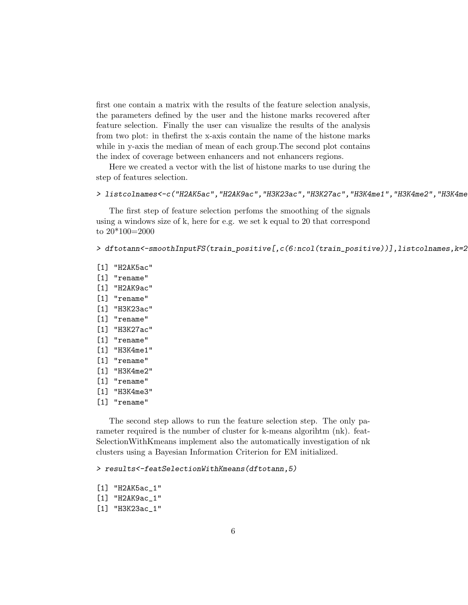first one contain a matrix with the results of the feature selection analysis, the parameters defined by the user and the histone marks recovered after feature selection. Finally the user can visualize the results of the analysis from two plot: in thefirst the x-axis contain the name of the histone marks while in y-axis the median of mean of each group.The second plot contains the index of coverage between enhancers and not enhancers regions.

Here we created a vector with the list of histone marks to use during the step of features selection.

#### > listcolnames<-c("H2AK5ac","H2AK9ac","H3K23ac","H3K27ac","H3K4me1","H3K4me2","H3K4me3")

The first step of feature selection perfoms the smoothing of the signals using a windows size of k, here for e.g. we set k equal to 20 that correspond to 20\*100=2000

> dftotann<-smoothInputFS(train\_positive[,c(6:ncol(train\_positive))],listcolnames,k=2

- [1] "H2AK5ac"
- [1] "rename"
- [1] "H2AK9ac"
- [1] "rename"
- [1] "H3K23ac"
- [1] "rename"
- [1] "H3K27ac"
- [1] "rename"
- [1] "H3K4me1"
- [1] "rename"
- [1] "H3K4me2"
- [1] "rename"
- [1] "H3K4me3"
- [1] "rename"

The second step allows to run the feature selection step. The only parameter required is the number of cluster for k-means algorihtm (nk). feat-SelectionWithKmeans implement also the automatically investigation of nk clusters using a Bayesian Information Criterion for EM initialized.

> results<-featSelectionWithKmeans(dftotann,5)

- [1] "H2AK5ac\_1"
- [1] "H2AK9ac\_1"
- [1] "H3K23ac\_1"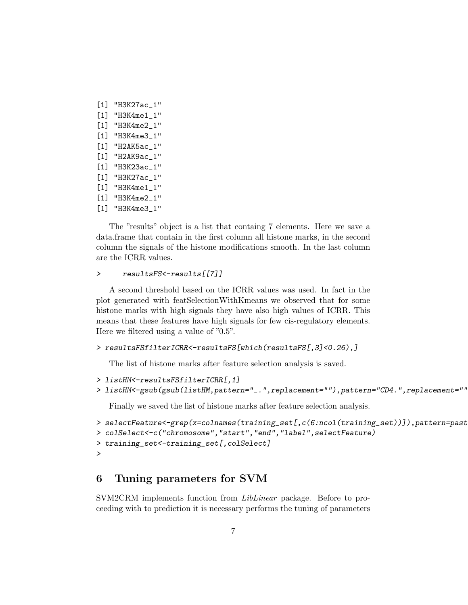- [1] "H3K27ac\_1" [1] "H3K4me1\_1" [1] "H3K4me2\_1" [1] "H3K4me3\_1" [1] "H2AK5ac\_1" [1] "H2AK9ac\_1" [1] "H3K23ac\_1" [1] "H3K27ac\_1" [1] "H3K4me1\_1" [1] "H3K4me2\_1"
- [1] "H3K4me3\_1"

The "results" object is a list that containg 7 elements. Here we save a data.frame that contain in the first column all histone marks, in the second column the signals of the histone modifications smooth. In the last column are the ICRR values.

#### > resultsFS<-results[[7]]

A second threshold based on the ICRR values was used. In fact in the plot generated with featSelectionWithKmeans we observed that for some histone marks with high signals they have also high values of ICRR. This means that these features have high signals for few cis-regulatory elements. Here we filtered using a value of "0.5".

#### > resultsFSfilterICRR<-resultsFS[which(resultsFS[,3]<0.26),]

The list of histone marks after feature selection analysis is saved.

```
> listHM<-resultsFSfilterICRR[,1]
```

```
> listHM<-gsub(gsub(listHM,pattern="_.",replacement=""),pattern="CD4.",replacement="")
```
Finally we saved the list of histone marks after feature selection analysis.

```
> selectFeature<-grep(x=colnames(training_set[,c(6:ncol(training_set))]),pattern=past
> colSelect<-c("chromosome","start","end","label",selectFeature)
> training_set<-training_set[,colSelect]
>
```
### 6 Tuning parameters for SVM

SVM2CRM implements function from LibLinear package. Before to proceeding with to prediction it is necessary performs the tuning of parameters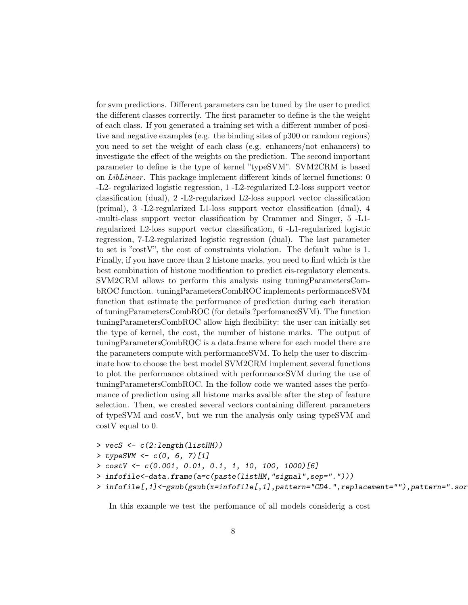for svm predictions. Different parameters can be tuned by the user to predict the different classes correctly. The first parameter to define is the the weight of each class. If you generated a training set with a different number of positive and negative examples (e.g. the binding sites of p300 or random regions) you need to set the weight of each class (e.g. enhancers/not enhancers) to investigate the effect of the weights on the prediction. The second important parameter to define is the type of kernel "typeSVM". SVM2CRM is based on LibLinear . This package implement different kinds of kernel functions: 0 -L2- regularized logistic regression, 1 -L2-regularized L2-loss support vector classification (dual), 2 -L2-regularized L2-loss support vector classification (primal), 3 -L2-regularized L1-loss support vector classification (dual), 4 -multi-class support vector classification by Crammer and Singer, 5 -L1 regularized L2-loss support vector classification, 6 -L1-regularized logistic regression, 7-L2-regularized logistic regression (dual). The last parameter to set is "costV", the cost of constraints violation. The default value is 1. Finally, if you have more than 2 histone marks, you need to find which is the best combination of histone modification to predict cis-regulatory elements. SVM2CRM allows to perform this analysis using tuningParametersCombROC function. tuningParametersCombROC implements performanceSVM function that estimate the performance of prediction during each iteration of tuningParametersCombROC (for details ?perfomanceSVM). The function tuningParametersCombROC allow high flexibility: the user can initially set the type of kernel, the cost, the number of histone marks. The output of tuningParametersCombROC is a data.frame where for each model there are the parameters compute with performanceSVM. To help the user to discriminate how to choose the best model SVM2CRM implement several functions to plot the performance obtained with performanceSVM during the use of tuningParametersCombROC. In the follow code we wanted asses the perfomance of prediction using all histone marks avaible after the step of feature selection. Then, we created several vectors containing different parameters of typeSVM and costV, but we run the analysis only using typeSVM and costV equal to 0.

- > vecS <- c(2:length(listHM))
- > typeSVM <- c(0, 6, 7)[1]
- > costV <- c(0.001, 0.01, 0.1, 1, 10, 100, 1000)[6]
- > infofile<-data.frame(a=c(paste(listHM,"signal",sep=".")))
- > infofile[,1]<-gsub(gsub(x=infofile[,1],pattern="CD4.",replacement=""),pattern=".sor

In this example we test the perfomance of all models considerig a cost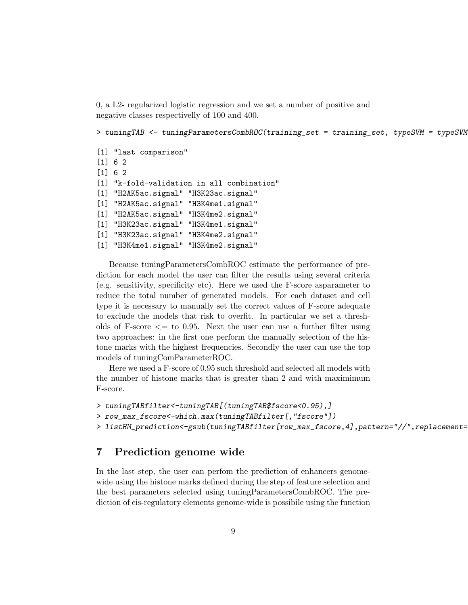0, a L2- regularized logistic regression and we set a number of positive and negative classes respectivelly of 100 and 400.

```
> tuningTAB <- tuningParametersCombROC(training_set = training_set, typeSVM = typeSVM
```

```
[1] "last comparison"
[1] 6 2
[1] 6 2
[1] "k-fold-validation in all combination"
[1] "H2AK5ac.signal" "H3K23ac.signal"
[1] "H2AK5ac.signal" "H3K4me1.signal"
[1] "H2AK5ac.signal" "H3K4me2.signal"
[1] "H3K23ac.signal" "H3K4me1.signal"
[1] "H3K23ac.signal" "H3K4me2.signal"
[1] "H3K4me1.signal" "H3K4me2.signal"
```
Because tuningParametersCombROC estimate the performance of prediction for each model the user can filter the results using several criteria (e.g. sensitivity, specificity etc). Here we used the F-score asparameter to reduce the total number of generated models. For each dataset and cell type it is necessary to manually set the correct values of F-score adequate to exclude the models that risk to overfit. In particular we set a thresholds of F-score  $\leq$  to 0.95. Next the user can use a further filter using two approaches: in the first one perform the manually selection of the histone marks with the highest frequencies. Secondly the user can use the top models of tuningComParameterROC.

Here we used a F-score of 0.95 such threshold and selected all models with the number of histone marks that is greater than 2 and with maximimum F-score.

```
> tuningTABfilter<-tuningTAB[(tuningTAB$fscore<0.95),]
```

```
> row_max_fscore<-which.max(tuningTABfilter[,"fscore"])
```
> listHM\_prediction<-gsub(tuningTABfilter[row\_max\_fscore,4],pattern="//",replacement=

### 7 Prediction genome wide

In the last step, the user can perfom the prediction of enhancers genomewide using the histone marks defined during the step of feature selection and the best parameters selected using tuningParametersCombROC. The prediction of cis-regulatory elements genome-wide is possibile using the function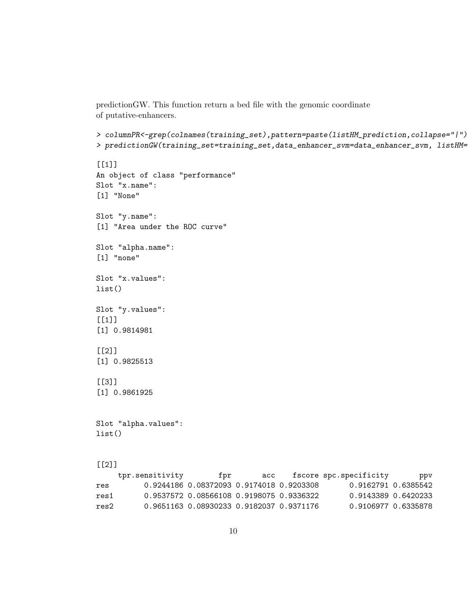predictionGW. This function return a bed file with the genomic coordinate of putative-enhancers.

```
> columnPR<-grep(colnames(training_set),pattern=paste(listHM_prediction,collapse="|")
> predictionGW(training_set=training_set,data_enhancer_svm=data_enhancer_svm, listHM=
```

```
[1]]
An object of class "performance"
Slot "x.name":
[1] "None"
Slot "y.name":
[1] "Area under the ROC curve"
Slot "alpha.name":
[1] "none"
Slot "x.values":
list()
Slot "y.values":
[1][1] 0.9814981
[[2]]
[1] 0.9825513
[[3]]
[1] 0.9861925
Slot "alpha.values":
list()
[2]]<br>tpr sensitivity
                          fpr. sech fscore spc.specificity ppv
```

|      | chr.petraterate | T DT                                           |  | acc iscore spc.specificity | ppy |
|------|-----------------|------------------------------------------------|--|----------------------------|-----|
| res  |                 | 0.9244186  0.08372093  0.9174018  0.9203308    |  | 0.9162791 0.6385542        |     |
| res1 |                 | 0.9537572  0.08566108  0.9198075  0.9336322    |  | 0.9143389 0.6420233        |     |
| res2 |                 | 0.9651163   0.08930233   0.9182037   0.9371176 |  | 0.9106977 0.6335878        |     |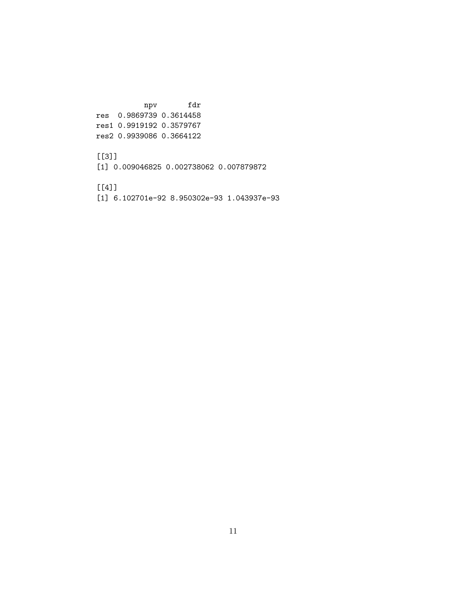npv fdr res 0.9869739 0.3614458 res1 0.9919192 0.3579767 res2 0.9939086 0.3664122

### [[3]]

[1] 0.009046825 0.002738062 0.007879872

[[4]]

[1] 6.102701e-92 8.950302e-93 1.043937e-93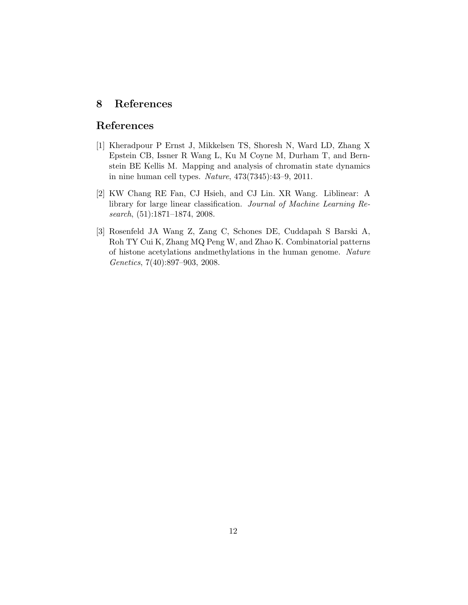# 8 References

# References

- [1] Kheradpour P Ernst J, Mikkelsen TS, Shoresh N, Ward LD, Zhang X Epstein CB, Issner R Wang L, Ku M Coyne M, Durham T, and Bernstein BE Kellis M. Mapping and analysis of chromatin state dynamics in nine human cell types. Nature, 473(7345):43–9, 2011.
- [2] KW Chang RE Fan, CJ Hsieh, and CJ Lin. XR Wang. Liblinear: A library for large linear classification. Journal of Machine Learning Research, (51):1871–1874, 2008.
- [3] Rosenfeld JA Wang Z, Zang C, Schones DE, Cuddapah S Barski A, Roh TY Cui K, Zhang MQ Peng W, and Zhao K. Combinatorial patterns of histone acetylations andmethylations in the human genome. Nature Genetics, 7(40):897–903, 2008.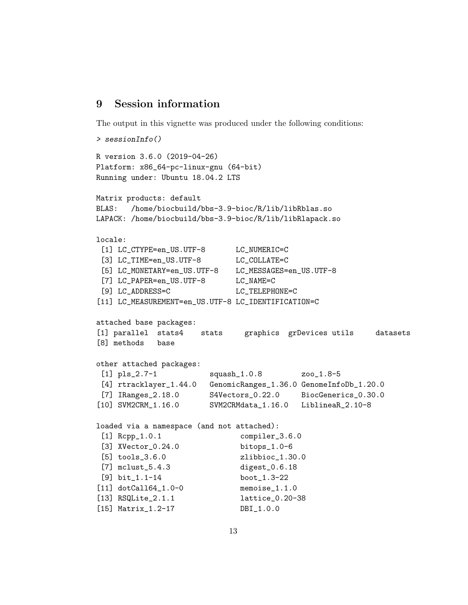### 9 Session information

The output in this vignette was produced under the following conditions:

```
> sessionInfo()
R version 3.6.0 (2019-04-26)
Platform: x86_64-pc-linux-gnu (64-bit)
Running under: Ubuntu 18.04.2 LTS
Matrix products: default
BLAS: /home/biocbuild/bbs-3.9-bioc/R/lib/libRblas.so
LAPACK: /home/biocbuild/bbs-3.9-bioc/R/lib/libRlapack.so
locale:
 [1] LC_CTYPE=en_US.UTF-8 LC_NUMERIC=C
 [3] LC_TIME=en_US.UTF-8 LC_COLLATE=C
 [5] LC_MONETARY=en_US.UTF-8 LC_MESSAGES=en_US.UTF-8
 [7] LC_PAPER=en_US.UTF-8 LC_NAME=C
 [9] LC_ADDRESS=C LC_TELEPHONE=C
[11] LC_MEASUREMENT=en_US.UTF-8 LC_IDENTIFICATION=C
attached base packages:
[1] parallel stats4 stats graphics grDevices utils datasets
[8] methods base
other attached packages:
 [1] pls_2.7-1 squash_1.0.8 zoo_1.8-5
 [4] rtracklayer_1.44.0 GenomicRanges_1.36.0 GenomeInfoDb_1.20.0
 [7] IRanges_2.18.0 S4Vectors_0.22.0 BiocGenerics_0.30.0
[10] SVM2CRM_1.16.0 SVM2CRMdata_1.16.0 LiblineaR_2.10-8
loaded via a namespace (and not attached):
 [1] Rcpp_1.0.1 compiler_3.6.0
 [3] XVector_0.24.0 bitops_1.0-6
 [5] tools_3.6.0 zlibbioc_1.30.0
 [7] mclust_5.4.3 digest_0.6.18
 [9] bit_1.1-14 boot_1.3-22
[11] dotCall64_1.0-0 memoise_1.1.0
[13] RSQLite_2.1.1 lattice_0.20-38
[15] Matrix_1.2-17 DBI_1.0.0
```